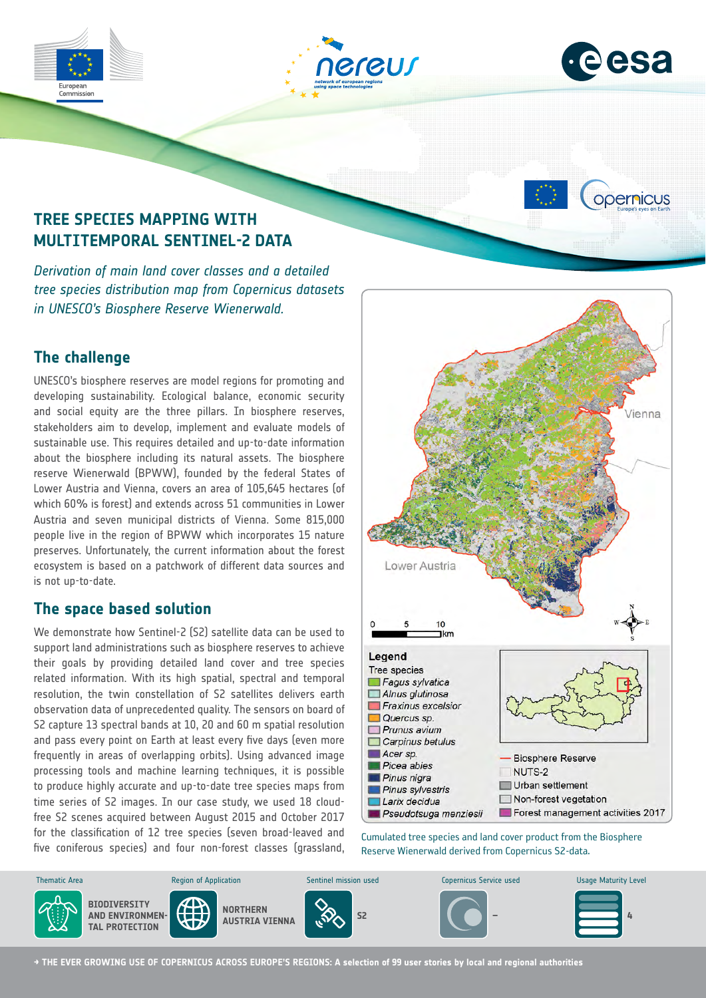





opernicus

# **TREE SPECIES MAPPING WITH MULTITEMPORAL SENTINEL-2 DATA**

*Derivation of main land cover classes and a detailed tree species distribution map from Copernicus datasets in UNESCO's Biosphere Reserve Wienerwald.*

# **The challenge**

UNESCO's biosphere reserves are model regions for promoting and developing sustainability. Ecological balance, economic security and social equity are the three pillars. In biosphere reserves, stakeholders aim to develop, implement and evaluate models of sustainable use. This requires detailed and up-to-date information about the biosphere including its natural assets. The biosphere reserve Wienerwald (BPWW), founded by the federal States of Lower Austria and Vienna, covers an area of 105,645 hectares (of which 60% is forest) and extends across 51 communities in Lower Austria and seven municipal districts of Vienna. Some 815,000 people live in the region of BPWW which incorporates 15 nature preserves. Unfortunately, the current information about the forest ecosystem is based on a patchwork of different data sources and is not up-to-date.

## **The space based solution**

We demonstrate how Sentinel-2 (S2) satellite data can be used to support land administrations such as biosphere reserves to achieve their goals by providing detailed land cover and tree species related information. With its high spatial, spectral and temporal resolution, the twin constellation of S2 satellites delivers earth observation data of unprecedented quality. The sensors on board of S2 capture 13 spectral bands at 10, 20 and 60 m spatial resolution and pass every point on Earth at least every five days (even more frequently in areas of overlapping orbits). Using advanced image processing tools and machine learning techniques, it is possible to produce highly accurate and up-to-date tree species maps from time series of S2 images. In our case study, we used 18 cloudfree S2 scenes acquired between August 2015 and October 2017 for the classification of 12 tree species (seven broad-leaved and five coniferous species) and four non-forest classes (grassland,



Cumulated tree species and land cover product from the Biosphere Reserve Wienerwald derived from Copernicus S2-data.



**→ THE EVER GROWING USE OF COPERNICUS ACROSS EUROPE'S REGIONS: A selection of 99 user stories by local and regional authorities**